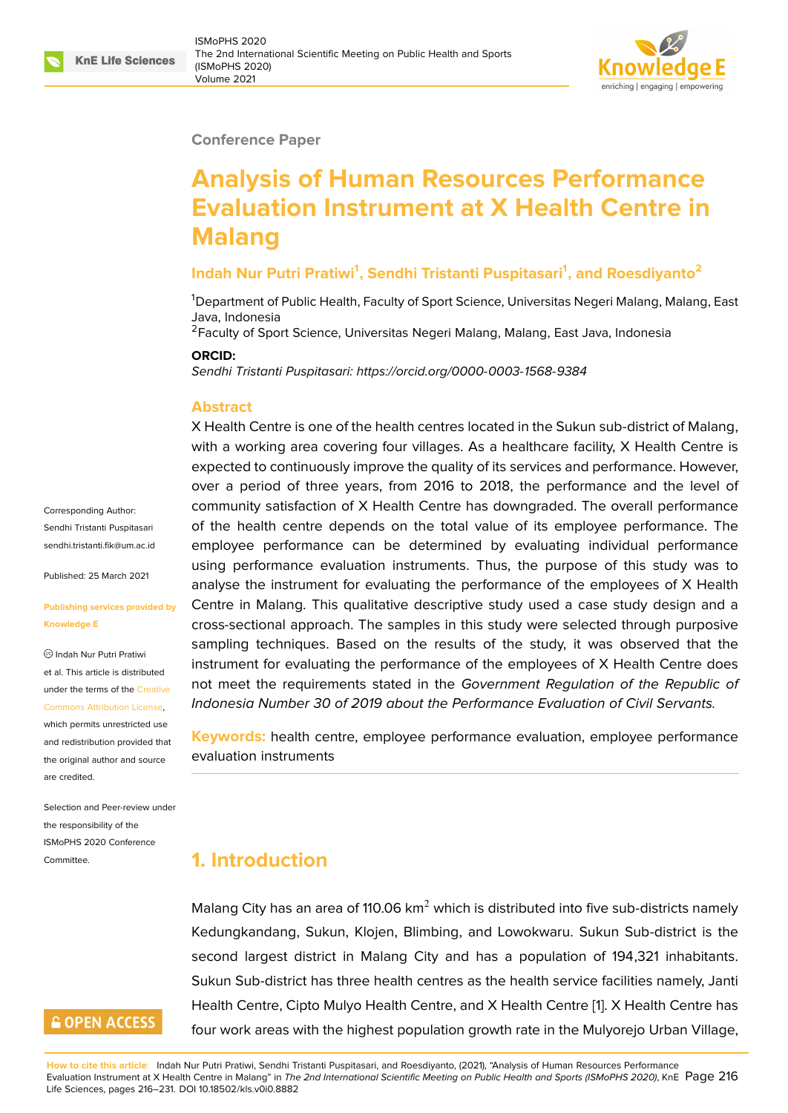#### **Conference Paper**

# **Analysis of Human Resources Performance Evaluation Instrument at X Health Centre in Malang**

#### **Indah Nur Putri Pratiwi<sup>1</sup> , Sendhi Tristanti Puspitasari<sup>1</sup> , and Roesdiyanto<sup>2</sup>**

<sup>1</sup>Department of Public Health, Faculty of Sport Science, Universitas Negeri Malang, Malang, East Java, Indonesia

<sup>2</sup> Faculty of Sport Science, Universitas Negeri Malang, Malang, East Java, Indonesia

#### **ORCID:**

*Sendhi Tristanti Puspitasari: https://orcid.org/0000-0003-1568-9384*

#### **Abstract**

X Health Centre is one of the health centres located in the Sukun sub-district of Malang, with a working area cove[ring four villages. As a healthcare fac](https://orcid.org/0000-0003-1568-9384)ility, X Health Centre is expected to continuously improve the quality of its services and performance. However, over a period of three years, from 2016 to 2018, the performance and the level of community satisfaction of X Health Centre has downgraded. The overall performance of the health centre depends on the total value of its employee performance. The employee performance can be determined by evaluating individual performance using performance evaluation instruments. Thus, the purpose of this study was to analyse the instrument for evaluating the performance of the employees of X Health Centre in Malang. This qualitative descriptive study used a case study design and a cross-sectional approach. The samples in this study were selected through purposive sampling techniques. Based on the results of the study, it was observed that the instrument for evaluating the performance of the employees of X Health Centre does not meet the requirements stated in the *Government Regulation of the Republic of Indonesia Number 30 of 2019 about the Performance Evaluation of Civil Servants.*

**Keywords:** health centre, employee performance evaluation, employee performance evaluation instruments

# **1. Introduction**

Malang City has an area of 110.06  $km^2$  which is distributed into five sub-districts namely Kedungkandang, Sukun, Klojen, Blimbing, and Lowokwaru. Sukun Sub-district is the second largest district in Malang City and has a population of 194,321 inhabitants. Sukun Sub-district has three health centres as the health service facilities namely, Janti Health Centre, Cipto Mulyo Health Centre, and X Health Centre [1]. X Health Centre has four work areas with the highest population growth rate in the Mulyorejo Urban Village,

**How to cite this article**: Indah Nur Putri Pratiwi, Sendhi Tristanti Puspitasari, and Roesdiyanto, (2021), "Analysis of Human Resources Performance Evaluation Instrument at X Health Centre in Malang" in *The 2nd International Scientific Meeting on Public Health and Sports (IS[M](#page-10-0)oPHS 2020)*, KnE Page 216 Life Sciences, pages 216–231. DOI 10.18502/kls.v0i0.8882

Corresponding Author: Sendhi Tristanti Puspitasari sendhi tristanti fik@um ac.id

Published: 25 March 2021

#### **[Publishing services provide](mailto:sendhi.tristanti.fik@um.ac.id)d by Knowledge E**

Indah Nur Putri Pratiwi et al. This article is distributed under the terms of the Creative Commons Attribution License,

which permits unrestricted use and redistribution provided that the original author and [source](https://creativecommons.org/licenses/by/4.0/) [are credited.](https://creativecommons.org/licenses/by/4.0/)

Selection and Peer-review under the responsibility of the ISMoPHS 2020 Conference Committee.

# **GOPEN ACCESS**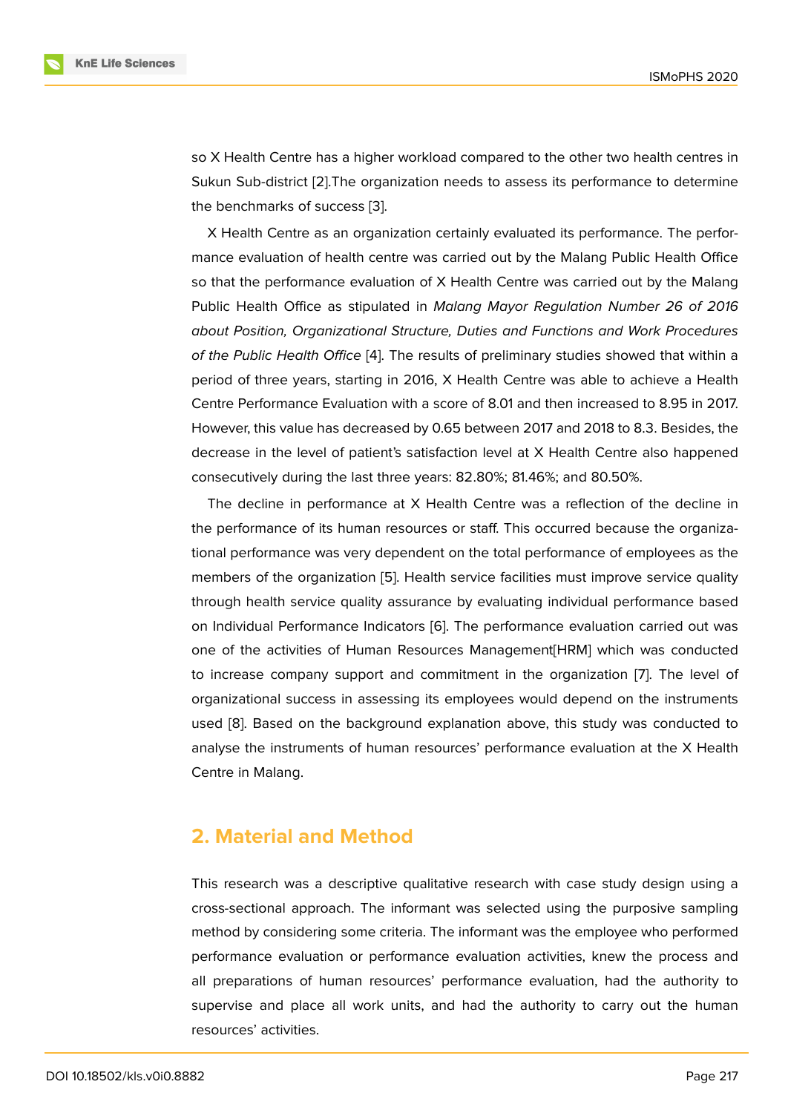so X Health Centre has a higher workload compared to the other two health centres in Sukun Sub-district [2].The organization needs to assess its performance to determine the benchmarks of success [3].

X Health Centre as an organization certainly evaluated its performance. The performance evaluation [of](#page-10-1) health centre was carried out by the Malang Public Health Office so that the performance eva[lu](#page-10-2)ation of X Health Centre was carried out by the Malang Public Health Office as stipulated in *Malang Mayor Regulation Number 26 of 2016 about Position, Organizational Structure, Duties and Functions and Work Procedures of the Public Health Office* [4]. The results of preliminary studies showed that within a period of three years, starting in 2016, X Health Centre was able to achieve a Health Centre Performance Evaluation with a score of 8.01 and then increased to 8.95 in 2017. However, this value has dec[re](#page-10-3)ased by 0.65 between 2017 and 2018 to 8.3. Besides, the decrease in the level of patient's satisfaction level at X Health Centre also happened consecutively during the last three years: 82.80%; 81.46%; and 80.50%.

The decline in performance at X Health Centre was a reflection of the decline in the performance of its human resources or staff. This occurred because the organizational performance was very dependent on the total performance of employees as the members of the organization [5]. Health service facilities must improve service quality through health service quality assurance by evaluating individual performance based on Individual Performance Indicators [6]. The performance evaluation carried out was one of the activities of Huma[n](#page-10-4) Resources Management[HRM] which was conducted to increase company support and commitment in the organization [7]. The level of organizational success in assessing it[s](#page-10-5) employees would depend on the instruments used [8]. Based on the background explanation above, this study was conducted to analyse the instruments of human resources' performance evaluation [a](#page-10-6)t the X Health Centre in Malang.

# **2. Material and Method**

This research was a descriptive qualitative research with case study design using a cross-sectional approach. The informant was selected using the purposive sampling method by considering some criteria. The informant was the employee who performed performance evaluation or performance evaluation activities, knew the process and all preparations of human resources' performance evaluation, had the authority to supervise and place all work units, and had the authority to carry out the human resources' activities.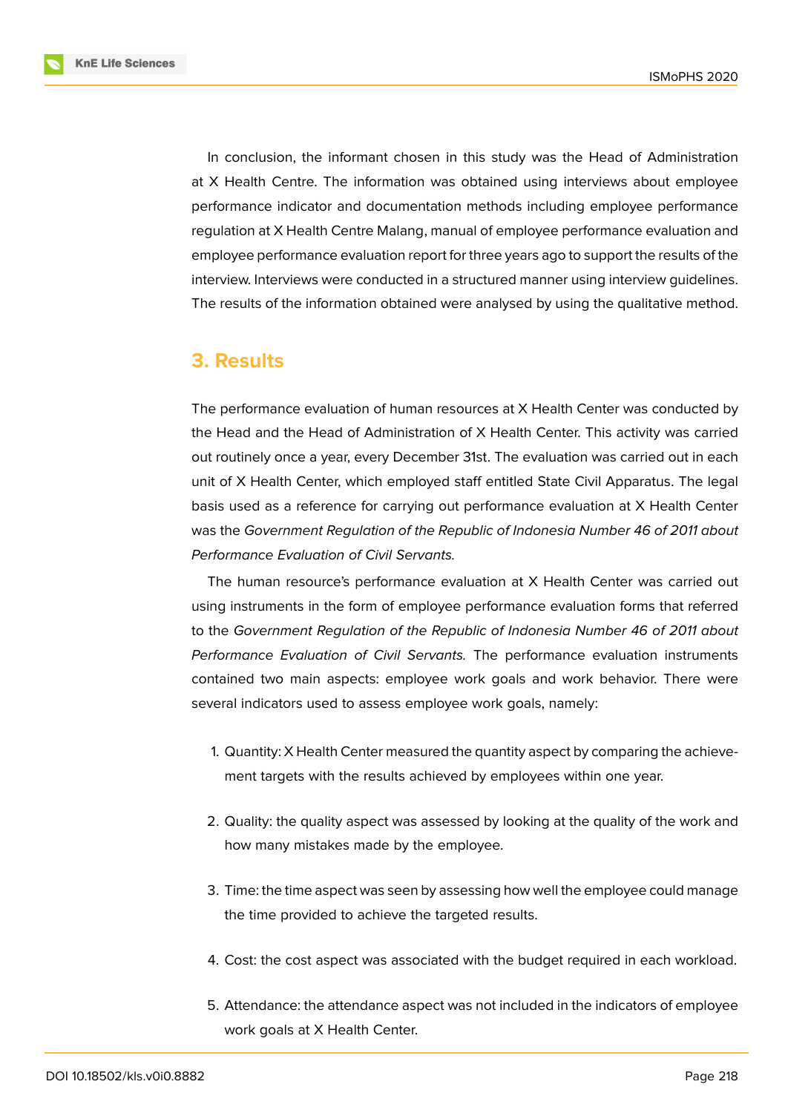**KnE Life Sciences** 

In conclusion, the informant chosen in this study was the Head of Administration at X Health Centre. The information was obtained using interviews about employee performance indicator and documentation methods including employee performance regulation at X Health Centre Malang, manual of employee performance evaluation and employee performance evaluation report for three years ago to support the results of the interview. Interviews were conducted in a structured manner using interview guidelines. The results of the information obtained were analysed by using the qualitative method.

# **3. Results**

The performance evaluation of human resources at X Health Center was conducted by the Head and the Head of Administration of X Health Center. This activity was carried out routinely once a year, every December 31st. The evaluation was carried out in each unit of X Health Center, which employed staff entitled State Civil Apparatus. The legal basis used as a reference for carrying out performance evaluation at X Health Center was the *Government Regulation of the Republic of Indonesia Number 46 of 2011 about Performance Evaluation of Civil Servants.*

The human resource's performance evaluation at X Health Center was carried out using instruments in the form of employee performance evaluation forms that referred to the *Government Regulation of the Republic of Indonesia Number 46 of 2011 about Performance Evaluation of Civil Servants.* The performance evaluation instruments contained two main aspects: employee work goals and work behavior. There were several indicators used to assess employee work goals, namely:

- 1. Quantity: X Health Center measured the quantity aspect by comparing the achievement targets with the results achieved by employees within one year.
- 2. Quality: the quality aspect was assessed by looking at the quality of the work and how many mistakes made by the employee.
- 3. Time: the time aspect was seen by assessing how well the employee could manage the time provided to achieve the targeted results.
- 4. Cost: the cost aspect was associated with the budget required in each workload.
- 5. Attendance: the attendance aspect was not included in the indicators of employee work goals at X Health Center.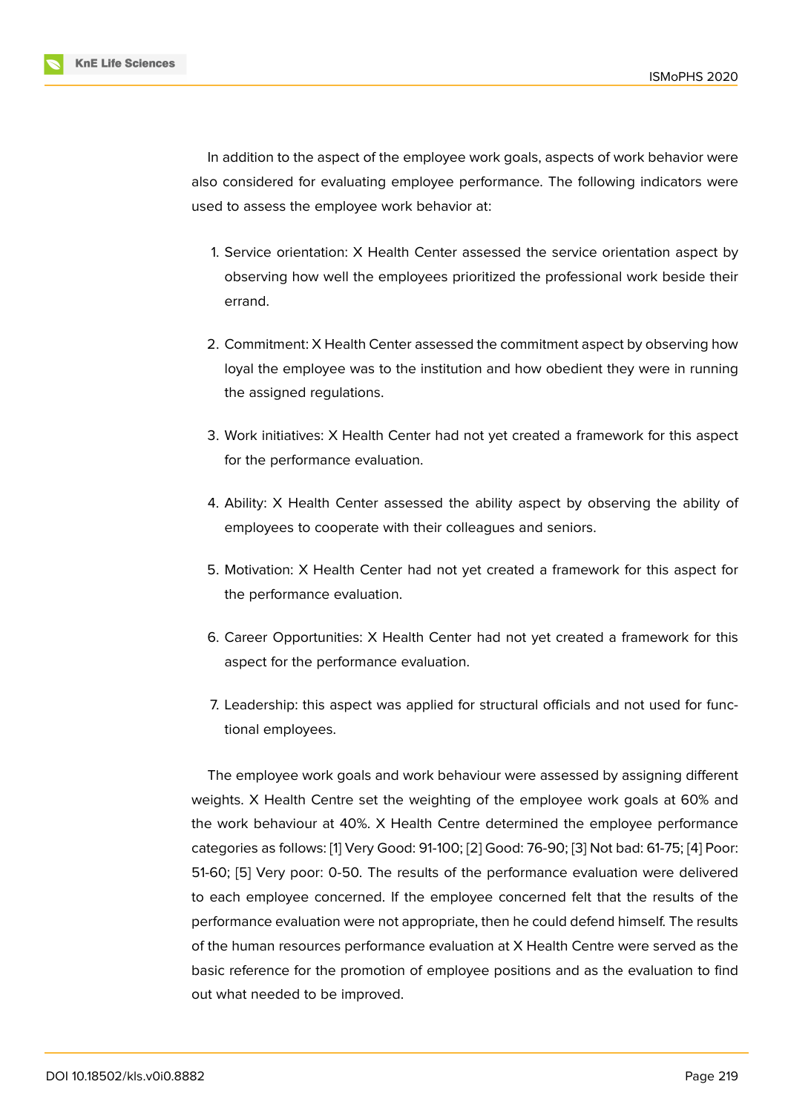In addition to the aspect of the employee work goals, aspects of work behavior were also considered for evaluating employee performance. The following indicators were used to assess the employee work behavior at:

- 1. Service orientation: X Health Center assessed the service orientation aspect by observing how well the employees prioritized the professional work beside their errand.
- 2. Commitment: X Health Center assessed the commitment aspect by observing how loyal the employee was to the institution and how obedient they were in running the assigned regulations.
- 3. Work initiatives: X Health Center had not yet created a framework for this aspect for the performance evaluation.
- 4. Ability: X Health Center assessed the ability aspect by observing the ability of employees to cooperate with their colleagues and seniors.
- 5. Motivation: X Health Center had not yet created a framework for this aspect for the performance evaluation.
- 6. Career Opportunities: X Health Center had not yet created a framework for this aspect for the performance evaluation.
- 7. Leadership: this aspect was applied for structural officials and not used for functional employees.

The employee work goals and work behaviour were assessed by assigning different weights. X Health Centre set the weighting of the employee work goals at 60% and the work behaviour at 40%. X Health Centre determined the employee performance categories as follows: [1] Very Good: 91-100; [2] Good: 76-90; [3] Not bad: 61-75; [4] Poor: 51-60; [5] Very poor: 0-50. The results of the performance evaluation were delivered to each employee concerned. If the employee concerned felt that the results of the performance evaluatio[n](#page-10-0) were not appropriat[e,](#page-10-1) then he could [de](#page-10-2)fend himself. Th[e r](#page-10-3)esults of the [hu](#page-10-4)man resources performance evaluation at X Health Centre were served as the basic reference for the promotion of employee positions and as the evaluation to find out what needed to be improved.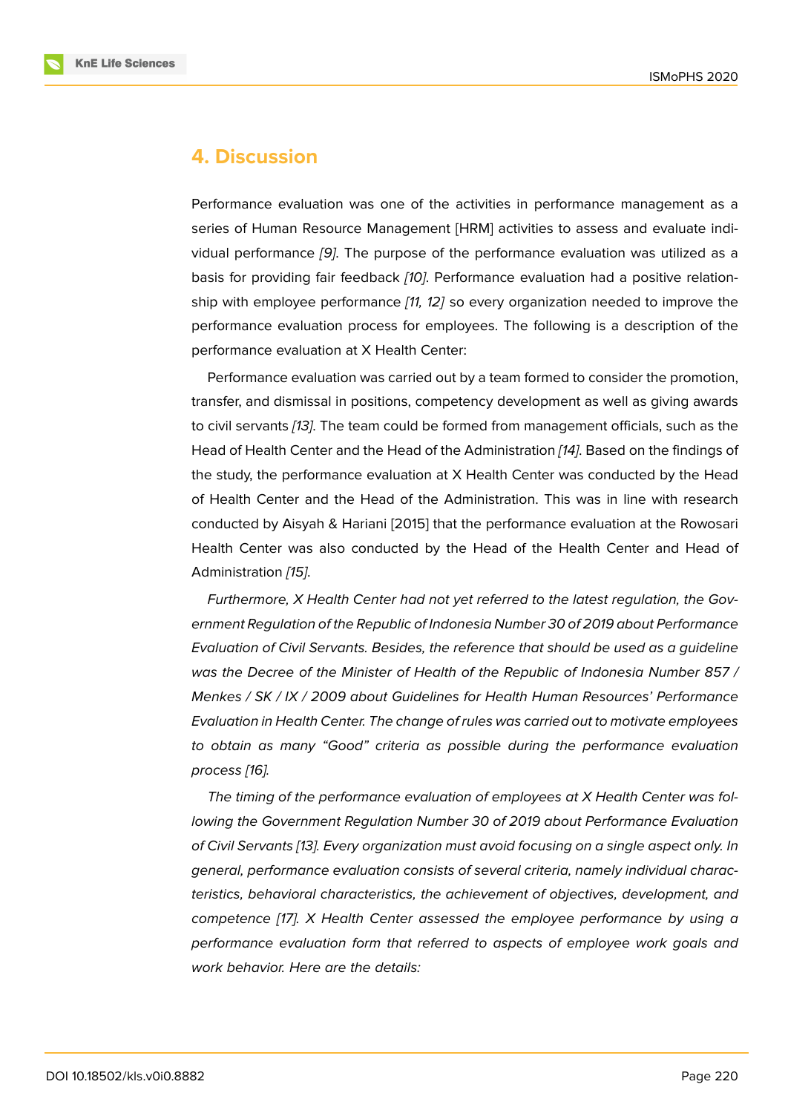# **4. Discussion**

Performance evaluation was one of the activities in performance management as a series of Human Resource Management [HRM] activities to assess and evaluate individual performance *[9]*. The purpose of the performance evaluation was utilized as a basis for providing fair feedback *[10]*. Performance evaluation had a positive relationship with employee performance *[11, 12]* so every organization needed to improve the performance evaluat[io](#page-11-0)n process for employees. The following is a description of the performance evaluation at X Heal[th C](#page-11-1)enter:

Performance evaluation was car[rie](#page-11-2)[d o](#page-11-3)ut by a team formed to consider the promotion, transfer, and dismissal in positions, competency development as well as giving awards to civil servants *[13]*. The team could be formed from management officials, such as the Head of Health Center and the Head of the Administration *[14]*. Based on the findings of the study, the performance evaluation at X Health Center was conducted by the Head of Health Cente[r a](#page-11-4)nd the Head of the Administration. This was in line with research conducted by Aisyah & Hariani [2015] that the performanc[e e](#page-11-5)valuation at the Rowosari Health Center was also conducted by the Head of the Health Center and Head of Administration *[15]*.

*Furthermore, X Health Center had not yet referred to the latest regulation, the Government Regulation of the Republic of Indonesia Number 30 of 2019 about Performance Evaluation of C[ivil](#page-11-6) Servants. Besides, the reference that should be used as a guideline was the Decree of the Minister of Health of the Republic of Indonesia Number 857 / Menkes / SK / IX / 2009 about Guidelines for Health Human Resources' Performance Evaluation in Health Center. The change of rules was carried out to motivate employees to obtain as many "Good" criteria as possible during the performance evaluation process [16].*

*The timing of the performance evaluation of employees at X Health Center was following the Government Regulation Number 30 of 2019 about Performance Evaluation of Civil S[erv](#page-11-7)ants [13]. Every organization must avoid focusing on a single aspect only. In general, performance evaluation consists of several criteria, namely individual characteristics, behavioral characteristics, the achievement of objectives, development, and competence [17]. [X](#page-11-4) Health Center assessed the employee performance by using a performance evaluation form that referred to aspects of employee work goals and work behavior. Here are the details:*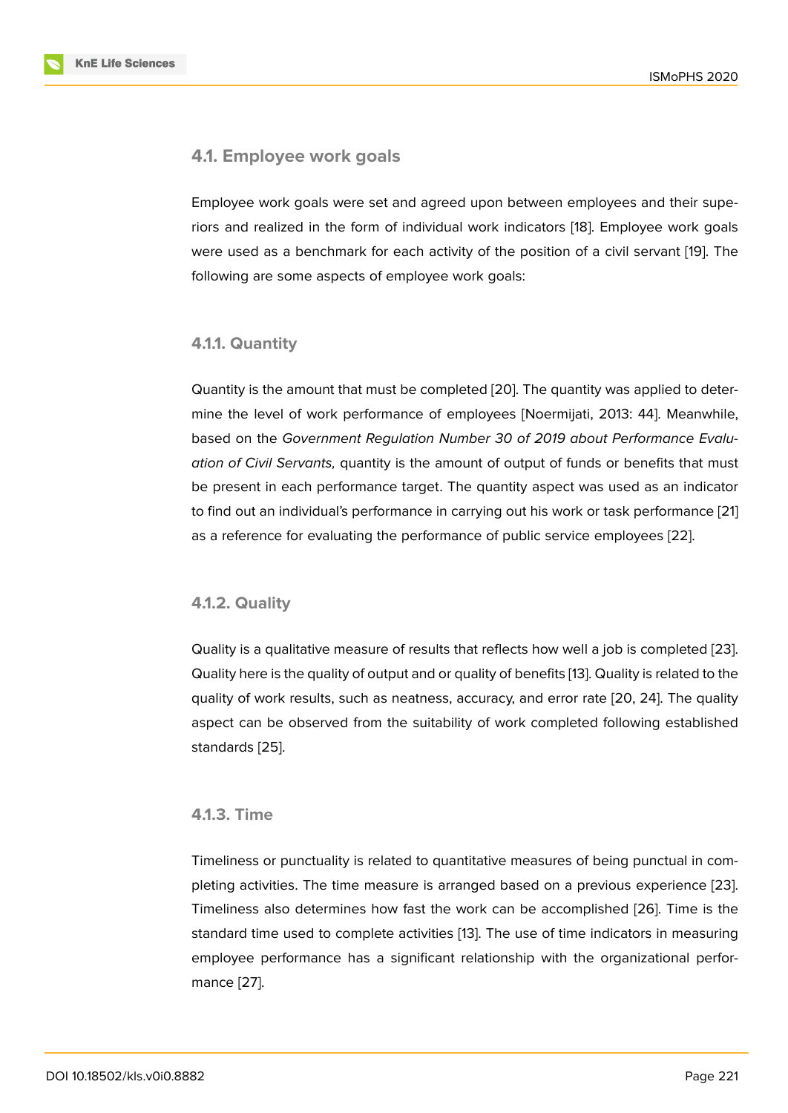#### **4.1. Employee work goals**

Employee work goals were set and agreed upon between employees and their superiors and realized in the form of individual work indicators [18]. Employee work goals were used as a benchmark for each activity of the position of a civil servant [19]. The following are some aspects of employee work goals:

#### **4.1.1. Quantity**

Quantity is the amount that must be completed [20]. The quantity was applied to determine the level of work performance of employees [Noermijati, 2013: 44]. Meanwhile, based on the *Government Regulation Number 30 of 2019 about Performance Evaluation of Civil Servants,* quantity is the amount [of o](#page-11-8)utput of funds or benefits that must be present in each performance target. The quantity aspect was used as an indicator to find out an individual's performance in carrying out his work or task performance [21] as a reference for evaluating the performance of public service employees [22].

#### **4.1.2. Quality**

Quality is a qualitative measure of results that reflects how well a job is completed [23]. Quality here is the quality of output and or quality of benefits [13]. Quality is related to the quality of work results, such as neatness, accuracy, and error rate [20, 24]. The quality aspect can be observed from the suitability of work completed following establis[hed](#page-12-0) standards [25].

#### **4.1.3. Ti[me](#page-12-1)**

Timeliness or punctuality is related to quantitative measures of being punctual in completing activities. The time measure is arranged based on a previous experience [23]. Timeliness also determines how fast the work can be accomplished [26]. Time is the standard time used to complete activities [13]. The use of time indicators in measuring employee performance has a significant relationship with the organizational pe[rfor](#page-12-0)mance [27].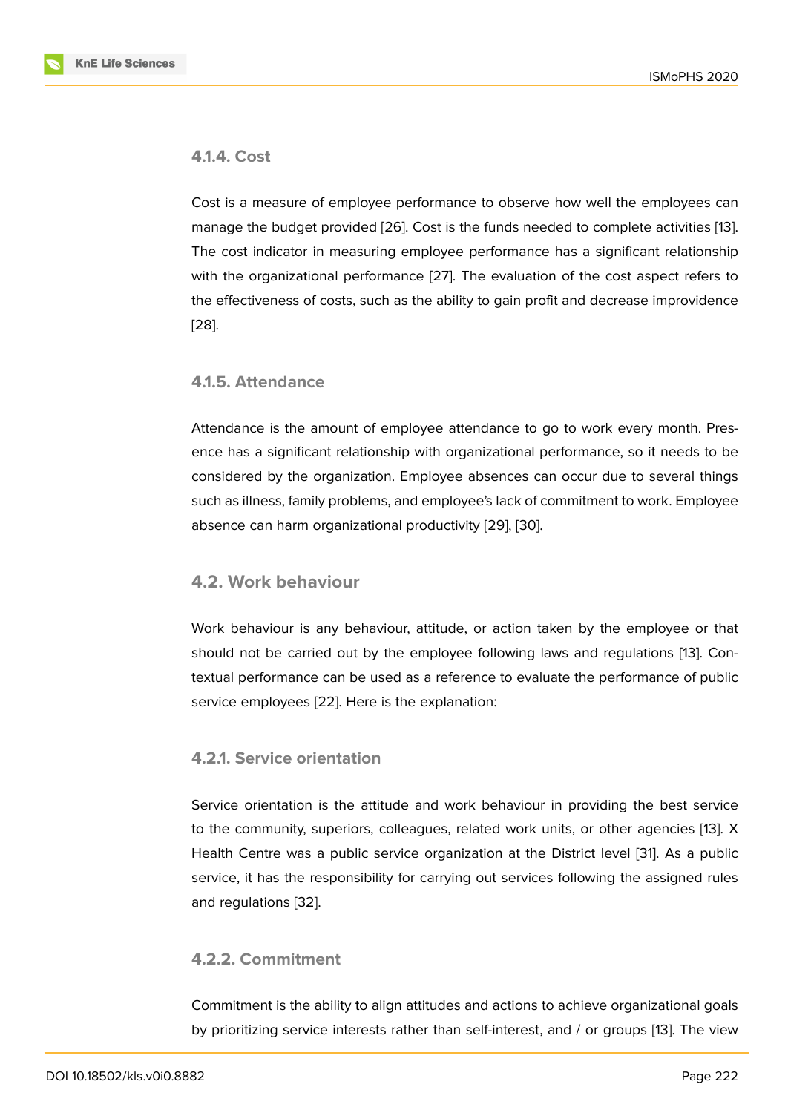#### **4.1.4. Cost**

Cost is a measure of employee performance to observe how well the employees can manage the budget provided [26]. Cost is the funds needed to complete activities [13]. The cost indicator in measuring employee performance has a significant relationship with the organizational performance [27]. The evaluation of the cost aspect refers to the effectiveness of costs, suc[h as](#page-12-2) the ability to gain profit and decrease improvide[nce](#page-11-4) [28].

#### **[4.1](#page-12-3).5. Attendance**

Attendance is the amount of employee attendance to go to work every month. Presence has a significant relationship with organizational performance, so it needs to be considered by the organization. Employee absences can occur due to several things such as illness, family problems, and employee's lack of commitment to work. Employee absence can harm organizational productivity [29], [30].

#### **4.2. Work behaviour**

Work behaviour is any behaviour, attitude, or action taken by the employee or that should not be carried out by the employee following laws and regulations [13]. Contextual performance can be used as a reference to evaluate the performance of public service employees [22]. Here is the explanation:

#### **4.2.1. Service ori[en](#page-12-4)tation**

Service orientation is the attitude and work behaviour in providing the best service to the community, superiors, colleagues, related work units, or other agencies [13]. X Health Centre was a public service organization at the District level [31]. As a public service, it has the responsibility for carrying out services following the assigned rules and regulations [32].

#### **4.2.2. Commi[tm](#page-12-5)ent**

Commitment is the ability to align attitudes and actions to achieve organizational goals by prioritizing service interests rather than self-interest, and / or groups [13]. The view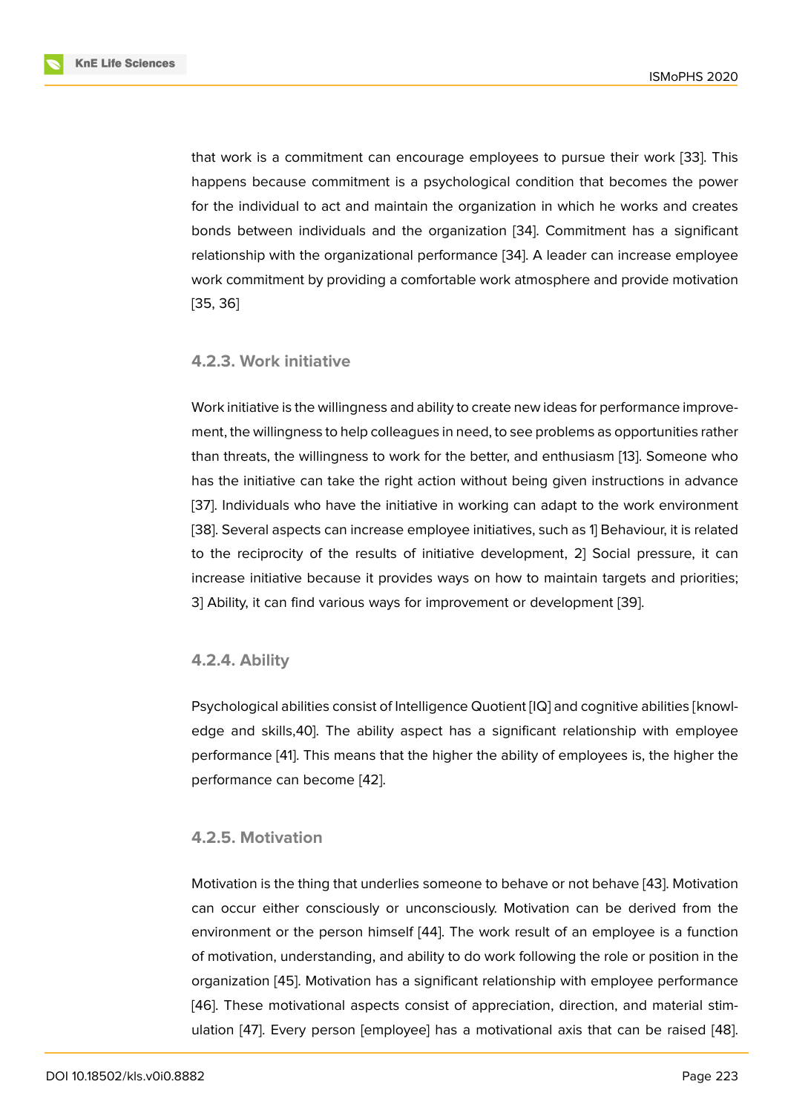that work is a commitment can encourage employees to pursue their work [33]. This happens because commitment is a psychological condition that becomes the power for the individual to act and maintain the organization in which he works and creates bonds between individuals and the organization [34]. Commitment has a s[ign](#page-12-6)ificant relationship with the organizational performance [34]. A leader can increase employee work commitment by providing a comfortable work atmosphere and provide motivation [35, 36]

#### **[4.2](#page-12-7)[.3.](#page-13-0) Work initiative**

Work initiative is the willingness and ability to create new ideas for performance improvement, the willingness to help colleagues in need, to see problems as opportunities rather than threats, the willingness to work for the better, and enthusiasm [13]. Someone who has the initiative can take the right action without being given instructions in advance [37]. Individuals who have the initiative in working can adapt to the work environment [38]. Several aspects can increase employee initiatives, such as 1] Be[hav](#page-11-4)iour, it is related to the reciprocity of the results of initiative development, 2] Social pressure, it can i[ncr](#page-13-1)ease initiative because it provides ways on how to maintain targets and priorities; [3\] A](#page-13-2)bility, it can find various ways for improvement or development [39].

#### **4.2.4. Ability**

Psychological abilities consist of Intelligence Quotient [IQ] and cognitive abilities [knowledge and skills,40]. The ability aspect has a significant relationship with employee performance [41]. This means that the higher the ability of employees is, the higher the performance can become [42].

#### **4.2.5. Moti[va](#page-13-3)tion**

Motivation is the thing that underlies someone to behave or not behave [43]. Motivation can occur either consciously or unconsciously. Motivation can be derived from the environment or the person himself [44]. The work result of an employee is a function of motivation, understanding, and ability to do work following the role or [po](#page-13-4)sition in the organization [45]. Motivation has a significant relationship with employee performance [46]. These motivational aspects co[nsi](#page-13-5)st of appreciation, direction, and material stimulation [47]. Every person [employee] has a motivational axis that can be raised [48].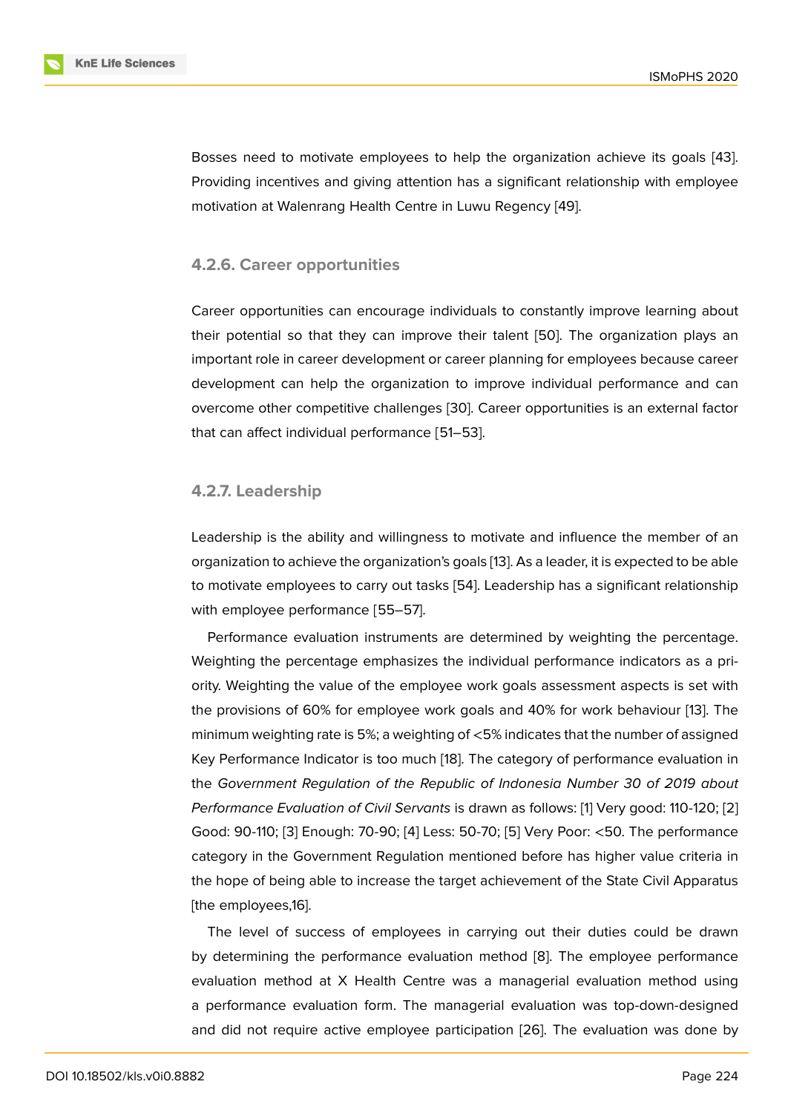Bosses need to motivate employees to help the organization achieve its goals [43]. Providing incentives and giving attention has a significant relationship with employee motivation at Walenrang Health Centre in Luwu Regency [49].

#### **4.2.6. Career opportunities**

Career opportunities can encourage individuals to constantly improve learning about their potential so that they can improve their talent [50]. The organization plays an important role in career development or career planning for employees because career development can help the organization to improve individual performance and can overcome other competitive challenges [30]. Career o[ppo](#page-14-0)rtunities is an external factor that can affect individual performance [51–53].

#### **4.2.7. Leadership**

Leadership is the ability and willingness to motivate and influence the member of an organization to achieve the organization's goals [13]. As a leader, it is expected to be able to motivate employees to carry out tasks [54]. Leadership has a significant relationship with employee performance [55–57].

Performance evaluation instruments are det[erm](#page-11-4)ined by weighting the percentage. Weighting the percentage emphasizes th[e in](#page-14-1)dividual performance indicators as a priority. Weighting the value of the employee work goals assessment aspects is set with the provisions of 60% for employee work goals and 40% for work behaviour [13]. The minimum weighting rate is 5%; a weighting of <5% indicates that the number of assigned Key Performance Indicator is too much [18]. The category of performance evaluation in the *Government Regulation of the Republic of Indonesia Number 30 of 201[9 a](#page-11-4)bout Performance Evaluation of Civil Servants* is drawn as follows: [1] Very good: 110-120; [2] Good: 90-110; [3] Enough: 70-90; [4] Le[ss:](#page-11-9) 50-70; [5] Very Poor: <50. The performance category in the Government Regulation mentioned before has higher value criteria in the hope of being able to increase the target achievement of [th](#page-10-0)e State Civil Apparat[us](#page-10-1) [the employee[s,1](#page-10-2)6].

The level of success of employees in carrying out their duties could be drawn by determining the performance evaluation method [8]. The employee performance evaluation method at X Health Centre was a managerial evaluation method using a performance evaluation form. The managerial evaluation was top-down-designed and did not require active employee participation [2[6\].](#page-10-7) The evaluation was done by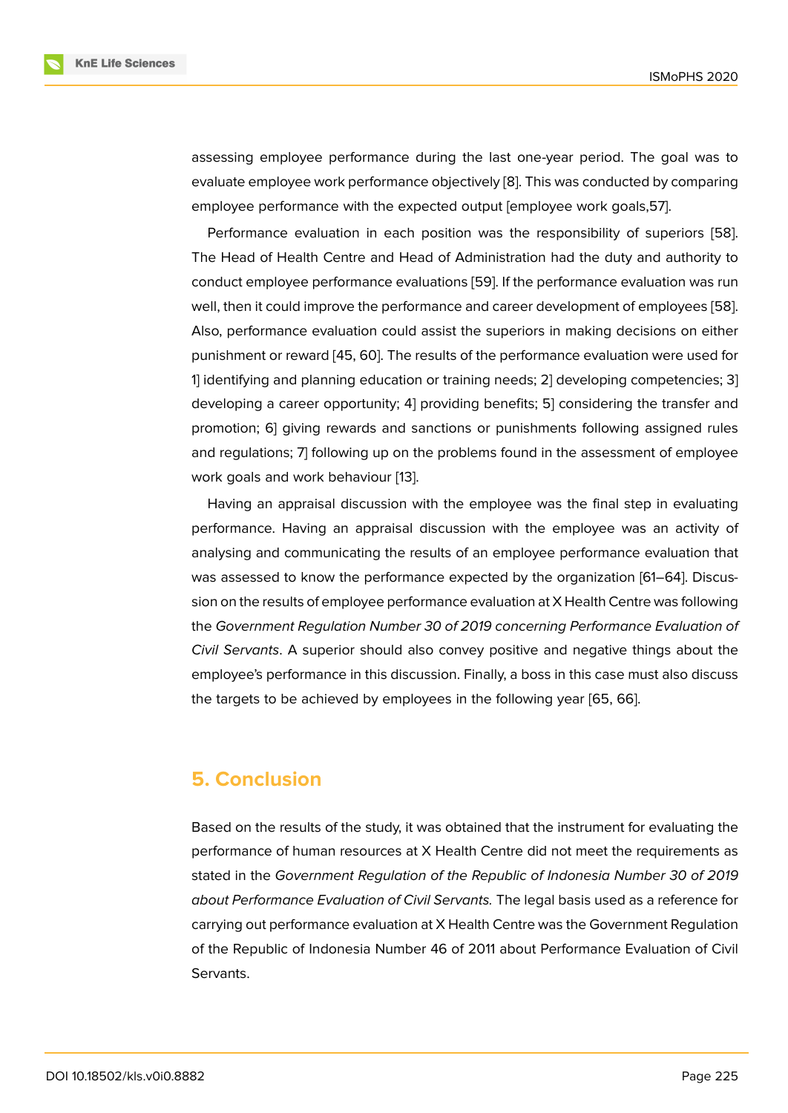assessing employee performance during the last one-year period. The goal was to evaluate employee work performance objectively [8]. This was conducted by comparing employee performance with the expected output [employee work goals,57].

Performance evaluation in each position was the responsibility of superiors [58]. The Head of Health Centre and Head of Adminis[tra](#page-10-7)tion had the duty and authority to conduct employee performance evaluations [59]. If the performance evaluation was run well, then it could improve the performance and career development of employees [\[58](#page-14-2)]. Also, performance evaluation could assist the superiors in making decisions on either punishment or reward [45, 60]. The results of [the](#page-14-3) performance evaluation were used for 1] identifying and planning education or training needs; 2] developing competencie[s; 3](#page-14-2)] developing a career opportunity; 4] providing benefits; 5] considering the transfer and promotion; 6] giving r[ewa](#page-13-7)[rds](#page-14-4) and sanctions or punishments following assigned rules and regulations; 7] following up on the problems found in the assessment of employee work goals and work behaviour [13].

Having an appraisal discussion with the employee was the final step in evaluating performance. Having an appraisal discussion with the employee was an activity of analysing and communicating th[e r](#page-11-4)esults of an employee performance evaluation that was assessed to know the performance expected by the organization [61–64]. Discussion on the results of employee performance evaluation at X Health Centre was following the *Government Regulation Number 30 of 2019 concerning Performance Evaluation of Civil Servants*. A superior should also convey positive and negative things about the employee's performance in this discussion. Finally, a boss in this case must also discuss the targets to be achieved by employees in the following year [65, 66].

# **5. Conclusion**

Based on the results of the study, it was obtained that the instrument for evaluating the performance of human resources at X Health Centre did not meet the requirements as stated in the *Government Regulation of the Republic of Indonesia Number 30 of 2019 about Performance Evaluation of Civil Servants.* The legal basis used as a reference for carrying out performance evaluation at X Health Centre was the Government Regulation of the Republic of Indonesia Number 46 of 2011 about Performance Evaluation of Civil Servants.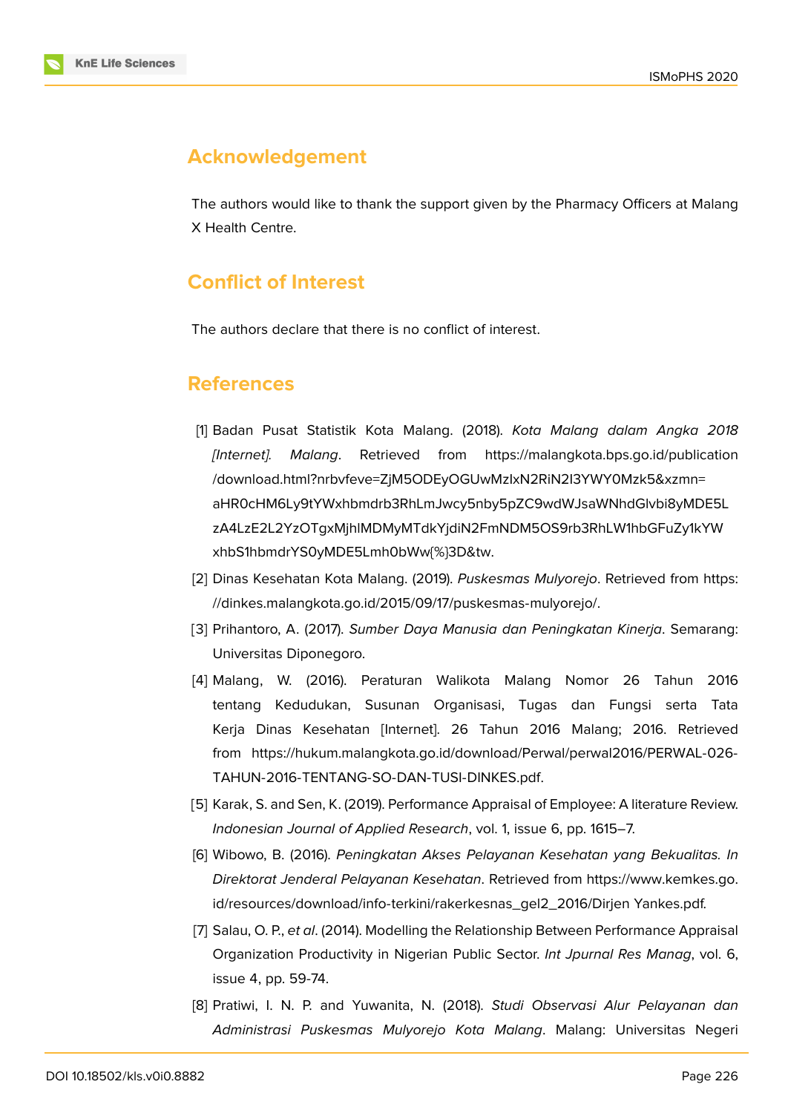# **Acknowledgement**

The authors would like to thank the support given by the Pharmacy Officers at Malang X Health Centre.

# **Conflict of Interest**

The authors declare that there is no conflict of interest.

### **References**

- <span id="page-10-0"></span>[1] Badan Pusat Statistik Kota Malang. (2018). *Kota Malang dalam Angka 2018 [Internet]. Malang*. Retrieved from https://malangkota.bps.go.id/publication /download.html?nrbvfeve=ZjM5ODEyOGUwMzIxN2RiN2I3YWY0Mzk5&xzmn= aHR0cHM6Ly9tYWxhbmdrb3RhLmJwcy5nby5pZC9wdWJsaWNhdGlvbi8yMDE5L zA4LzE2L2YzOTgxMjhlMDMyMTdkYjdiN2[FmNDM5OS9rb3RhLW1hbGFuZy1kYW](https://malangkota.bps.go.id/publication/download.html?nrbvfeve=ZjM5ODEyOGUwMzIxN2RiN2I3YWY0Mzk5&xzmn=aHR0cHM6Ly9tYWxhbmdrb3RhLmJwcy5nby5pZC9wdWJsaWNhdGlvbi8yMDE5LzA4LzE2L2YzOTgxMjhlMDMyMTdkYjdiN2FmNDM5OS9rb3RhLW1hbGFuZy1kYWxhbS1hbmdrYS0yMDE5Lmh0bWw{%}3D&tw) [xhbS1hbmdrYS0yMDE5Lmh0bWw{%}3D&tw.](https://malangkota.bps.go.id/publication/download.html?nrbvfeve=ZjM5ODEyOGUwMzIxN2RiN2I3YWY0Mzk5&xzmn=aHR0cHM6Ly9tYWxhbmdrb3RhLmJwcy5nby5pZC9wdWJsaWNhdGlvbi8yMDE5LzA4LzE2L2YzOTgxMjhlMDMyMTdkYjdiN2FmNDM5OS9rb3RhLW1hbGFuZy1kYWxhbS1hbmdrYS0yMDE5Lmh0bWw{%}3D&tw)
- [2] [Dinas Kesehatan Kota Malang. \(2019\).](https://malangkota.bps.go.id/publication/download.html?nrbvfeve=ZjM5ODEyOGUwMzIxN2RiN2I3YWY0Mzk5&xzmn=aHR0cHM6Ly9tYWxhbmdrb3RhLmJwcy5nby5pZC9wdWJsaWNhdGlvbi8yMDE5LzA4LzE2L2YzOTgxMjhlMDMyMTdkYjdiN2FmNDM5OS9rb3RhLW1hbGFuZy1kYWxhbS1hbmdrYS0yMDE5Lmh0bWw{%}3D&tw) *Puskesmas Mulyorejo*. Retrieved from https: [//dinkes.malangkota.go.id/2015/09/17/puskesmas-mulyorejo/.](https://malangkota.bps.go.id/publication/download.html?nrbvfeve=ZjM5ODEyOGUwMzIxN2RiN2I3YWY0Mzk5&xzmn=aHR0cHM6Ly9tYWxhbmdrb3RhLmJwcy5nby5pZC9wdWJsaWNhdGlvbi8yMDE5LzA4LzE2L2YzOTgxMjhlMDMyMTdkYjdiN2FmNDM5OS9rb3RhLW1hbGFuZy1kYWxhbS1hbmdrYS0yMDE5Lmh0bWw{%}3D&tw)
- <span id="page-10-1"></span>[3] Prihantoro, A. (2017). *[Sumber Daya Manusia](https://malangkota.bps.go.id/publication/download.html?nrbvfeve=ZjM5ODEyOGUwMzIxN2RiN2I3YWY0Mzk5&xzmn=aHR0cHM6Ly9tYWxhbmdrb3RhLmJwcy5nby5pZC9wdWJsaWNhdGlvbi8yMDE5LzA4LzE2L2YzOTgxMjhlMDMyMTdkYjdiN2FmNDM5OS9rb3RhLW1hbGFuZy1kYWxhbS1hbmdrYS0yMDE5Lmh0bWw{%}3D&tw) dan Peningkatan Kinerja*. Semarang: Universitas Diponegoro.
- <span id="page-10-3"></span><span id="page-10-2"></span>[4] [Malang, W. \(2016\). Peraturan Walikota Malang Nomo](https://dinkes.malangkota.go.id/2015/09/17/puskesmas-mulyorejo/)r 26 Tahun 2016 tentang Kedudukan, Susunan Organisasi, Tugas dan Fungsi serta Tata Kerja Dinas Kesehatan [Internet]. 26 Tahun 2016 Malang; 2016. Retrieved from https://hukum.malangkota.go.id/download/Perwal/perwal2016/PERWAL-026- TAHUN-2016-TENTANG-SO-DAN-TUSI-DINKES.pdf.
- [5] Karak, S. and Sen, K. (2019). Performance Appraisal of Employee: A literature Review. *Indon[esian Journal of Applied Research](https://hukum.malangkota.go.id/download/Perwal/perwal2016/PERWAL-026-TAHUN-2016-TENTANG-SO-DAN-TUSI-DINKES.pdf)*, vol. 1, issue 6, pp. 1615–7.
- <span id="page-10-4"></span>[6] Wibowo, B. (2016). *[Peningkatan Akses Pelayanan K](https://hukum.malangkota.go.id/download/Perwal/perwal2016/PERWAL-026-TAHUN-2016-TENTANG-SO-DAN-TUSI-DINKES.pdf)esehatan yang Bekualitas. In Direktorat Jenderal Pelayanan Kesehatan*. Retrieved from https://www.kemkes.go. id/resources/download/info-terkini/rakerkesnas\_gel2\_2016/Dirjen Yankes.pdf.
- <span id="page-10-5"></span>[7] Salau, O. P., *et al*. (2014). Modelling the Relationship Between Performance Appraisal Organization Productivity in Nigerian Public Sector. *Int Jp[urnal Res Manag](https://www.kemkes.go.id/resources/download/info-terkini/rakerkesnas_gel2_2016/Dirjen)*, vol. 6, [issue 4, pp. 59-74.](https://www.kemkes.go.id/resources/download/info-terkini/rakerkesnas_gel2_2016/Dirjen)
- <span id="page-10-7"></span><span id="page-10-6"></span>[8] Pratiwi, I. N. P. and Yuwanita, N. (2018). *Studi Observasi Alur Pelayanan dan Administrasi Puskesmas Mulyorejo Kota Malang*. Malang: Universitas Negeri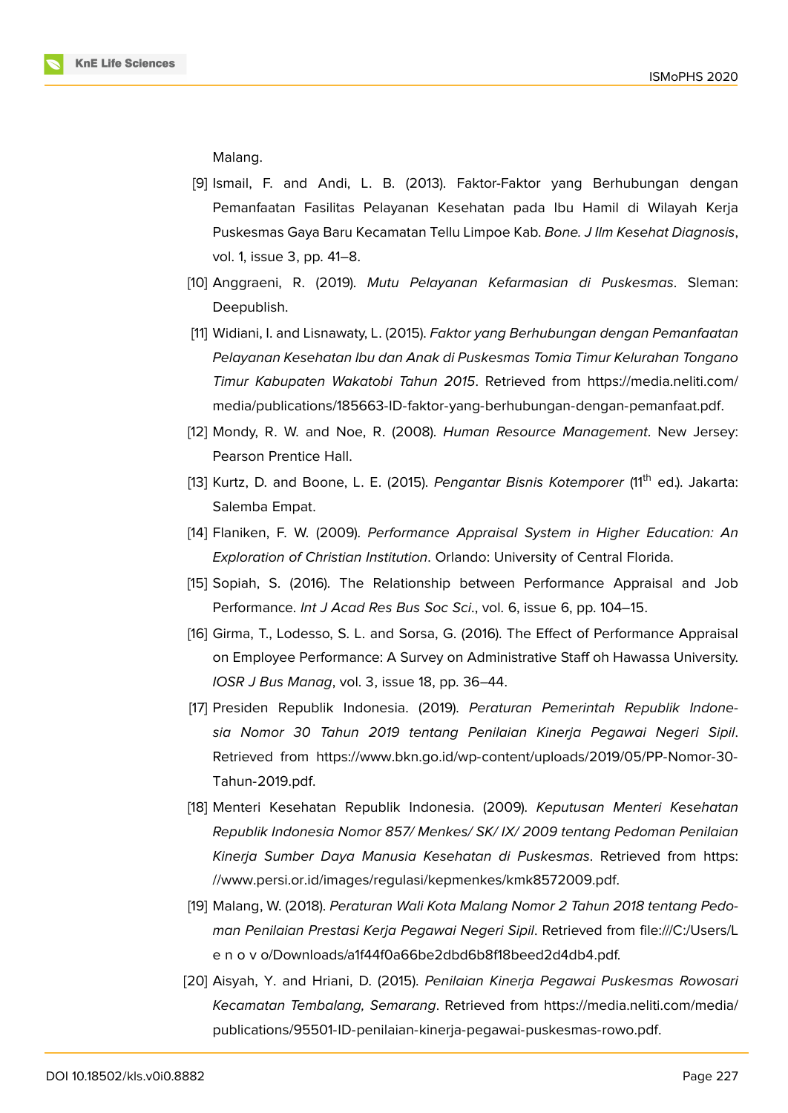Malang.

- [9] Ismail, F. and Andi, L. B. (2013). Faktor-Faktor yang Berhubungan dengan Pemanfaatan Fasilitas Pelayanan Kesehatan pada Ibu Hamil di Wilayah Kerja Puskesmas Gaya Baru Kecamatan Tellu Limpoe Kab. *Bone. J Ilm Kesehat Diagnosis*, vol. 1, issue 3, pp. 41–8.
- <span id="page-11-0"></span>[10] Anggraeni, R. (2019). *Mutu Pelayanan Kefarmasian di Puskesmas*. Sleman: Deepublish.
- <span id="page-11-1"></span>[11] Widiani, I. and Lisnawaty, L. (2015). *Faktor yang Berhubungan dengan Pemanfaatan Pelayanan Kesehatan Ibu dan Anak di Puskesmas Tomia Timur Kelurahan Tongano Timur Kabupaten Wakatobi Tahun 2015*. Retrieved from https://media.neliti.com/ media/publications/185663-ID-faktor-yang-berhubungan-dengan-pemanfaat.pdf.
- <span id="page-11-2"></span>[12] Mondy, R. W. and Noe, R. (2008). *Human Resource Management*. New Jersey: Pearson Prentice Hall.
- <span id="page-11-3"></span>[13] [Kurtz, D. and Boone, L. E. \(2015\).](https://media.neliti.com/media/publications/185663-ID-faktor-yang-berhubungan-dengan-pemanfaat.pdf) *Pengantar Bisnis Kotemporer* (11th ed.). Jakarta: Salemba Empat.
- <span id="page-11-4"></span>[14] Flaniken, F. W. (2009). *Performance Appraisal System in Higher Education: An Exploration of Christian Institution*. Orlando: University of Central Florida.
- <span id="page-11-5"></span>[15] Sopiah, S. (2016). The Relationship between Performance Appraisal and Job Performance. *Int J Acad Res Bus Soc Sci*., vol. 6, issue 6, pp. 104–15.
- <span id="page-11-6"></span>[16] Girma, T., Lodesso, S. L. and Sorsa, G. (2016). The Effect of Performance Appraisal on Employee Performance: A Survey on Administrative Staff oh Hawassa University. *IOSR J Bus Manag*, vol. 3, issue 18, pp. 36–44.
- <span id="page-11-7"></span>[17] Presiden Republik Indonesia. (2019). *Peraturan Pemerintah Republik Indonesia Nomor 30 Tahun 2019 tentang Penilaian Kinerja Pegawai Negeri Sipil*. Retrieved from https://www.bkn.go.id/wp-content/uploads/2019/05/PP-Nomor-30- Tahun-2019.pdf.
- [18] Menteri Kesehatan Republik Indonesia. (2009). *Keputusan Menteri Kesehatan Republik Indone[sia Nomor 857/ Menkes/ SK/ IX/ 2009 tentang Pedoman Penilaian](https://www.bkn.go.id/wp-content/uploads/2019/05/PP-Nomor-30-Tahun-2019.pdf.) [Kinerja Sumber](https://www.bkn.go.id/wp-content/uploads/2019/05/PP-Nomor-30-Tahun-2019.pdf.) Daya Manusia Kesehatan di Puskesmas*. Retrieved from https: //www.persi.or.id/images/regulasi/kepmenkes/kmk8572009.pdf.
- <span id="page-11-9"></span>[19] Malang, W. (2018). *Peraturan Wali Kota Malang Nomor 2 Tahun 2018 tentang Pedoman Penilaian Prestasi Kerja Pegawai Negeri Sipil*. Retrieved from file:///C:/U[sers/L](https://www.persi.or.id/images/regulasi/kepmenkes/kmk8572009.pdf.) [e n o v o/Downloads/a1f44f0a66be2dbd6b8f18beed2d4db4.pdf.](https://www.persi.or.id/images/regulasi/kepmenkes/kmk8572009.pdf.)
- <span id="page-11-8"></span>[20] Aisyah, Y. and Hriani, D. (2015). *Penilaian Kinerja Pegawai Puskesmas Rowosari Kecamatan Tembalang, Semarang*. Retrieved from https://media.neliti.com/media/ publications/95501-ID-penilaian-kinerja-pegawai-puskesmas-rowo.pdf.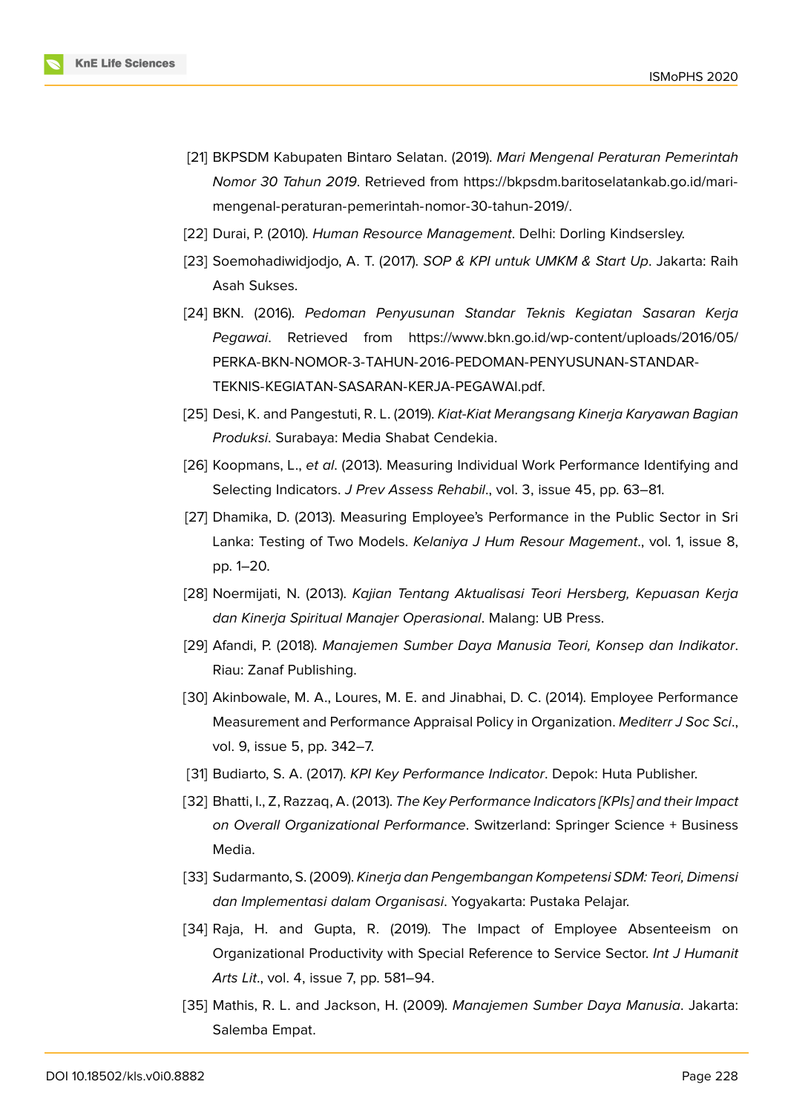- [21] BKPSDM Kabupaten Bintaro Selatan. (2019). *Mari Mengenal Peraturan Pemerintah Nomor 30 Tahun 2019*. Retrieved from https://bkpsdm.baritoselatankab.go.id/marimengenal-peraturan-pemerintah-nomor-30-tahun-2019/.
- [22] Durai, P. (2010). *Human Resource Management*. Delhi: Dorling Kindsersley.
- <span id="page-12-4"></span>[23] [Soemohadiwidjodjo, A. T. \(2017\).](https://bkpsdm.baritoselatankab.go.id/mari-mengenal-peraturan-pemerintah-nomor-30-tahun-2019/) *SOP [& KPI untuk UMKM & Start Up](https://bkpsdm.baritoselatankab.go.id/mari-mengenal-peraturan-pemerintah-nomor-30-tahun-2019/)*. Jakarta: Raih Asah Sukses.
- <span id="page-12-0"></span>[24] BKN. (2016). *Pedoman Penyusunan Standar Teknis Kegiatan Sasaran Kerja Pegawai*. Retrieved from https://www.bkn.go.id/wp-content/uploads/2016/05/ PERKA-BKN-NOMOR-3-TAHUN-2016-PEDOMAN-PENYUSUNAN-STANDAR-TEKNIS-KEGIATAN-SASARAN-KERJA-PEGAWAI.pdf.
- [25] Desi, K. and Pangestuti, R. L. (2019). *[Kiat-Kiat Merangsang Kinerja Karyawan Bagian](https://www.bkn.go.id/wp-content/uploads/2016/05/PERKA-BKN-NOMOR-3-TAHUN-2016-PEDOMAN-PENYUSUNAN-STANDAR-TEKNIS-KEGIATAN-SASARAN-KERJA-PEGAWAI.pdf.) Produksi*[. Surabaya: Media Shabat Cendekia.](https://www.bkn.go.id/wp-content/uploads/2016/05/PERKA-BKN-NOMOR-3-TAHUN-2016-PEDOMAN-PENYUSUNAN-STANDAR-TEKNIS-KEGIATAN-SASARAN-KERJA-PEGAWAI.pdf.)
- <span id="page-12-1"></span>[26] Koopmans, L., *et al*[. \(2013\). Measuring Individual Wor](https://www.bkn.go.id/wp-content/uploads/2016/05/PERKA-BKN-NOMOR-3-TAHUN-2016-PEDOMAN-PENYUSUNAN-STANDAR-TEKNIS-KEGIATAN-SASARAN-KERJA-PEGAWAI.pdf.)k Performance Identifying and Selecting Indicators. *J Prev Assess Rehabil*., vol. 3, issue 45, pp. 63–81.
- <span id="page-12-2"></span>[27] Dhamika, D. (2013). Measuring Employee's Performance in the Public Sector in Sri Lanka: Testing of Two Models. *Kelaniya J Hum Resour Magement*., vol. 1, issue 8, pp. 1–20.
- [28] Noermijati, N. (2013). *Kajian Tentang Aktualisasi Teori Hersberg, Kepuasan Kerja dan Kinerja Spiritual Manajer Operasional*. Malang: UB Press.
- <span id="page-12-3"></span>[29] Afandi, P. (2018). *Manajemen Sumber Daya Manusia Teori, Konsep dan Indikator*. Riau: Zanaf Publishing.
- [30] Akinbowale, M. A., Loures, M. E. and Jinabhai, D. C. (2014). Employee Performance Measurement and Performance Appraisal Policy in Organization. *Mediterr J Soc Sci*., vol. 9, issue 5, pp. 342–7.
- [31] Budiarto, S. A. (2017). *KPI Key Performance Indicator*. Depok: Huta Publisher.
- [32] Bhatti, I., Z, Razzaq, A. (2013). *The Key Performance Indicators [KPIs] and their Impact on Overall Organizational Performance*. Switzerland: Springer Science + Business Media.
- <span id="page-12-5"></span>[33] Sudarmanto, S. (2009). *Kinerja dan Pengembangan Kompetensi SDM: Teori, Dimensi dan Implementasi dalam Organisasi*. Yogyakarta: Pustaka Pelajar.
- <span id="page-12-6"></span>[34] Raja, H. and Gupta, R. (2019). The Impact of Employee Absenteeism on Organizational Productivity with Special Reference to Service Sector. *Int J Humanit Arts Lit*., vol. 4, issue 7, pp. 581–94.
- <span id="page-12-7"></span>[35] Mathis, R. L. and Jackson, H. (2009). *Manajemen Sumber Daya Manusia*. Jakarta: Salemba Empat.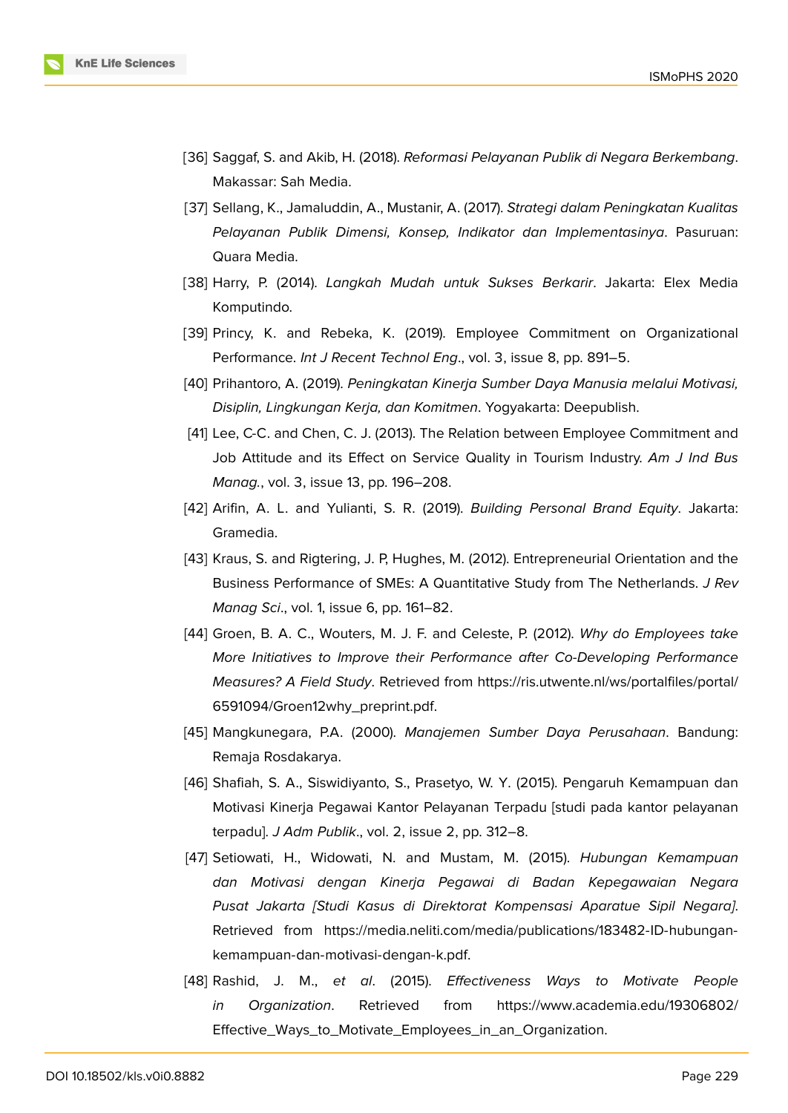- [36] Saggaf, S. and Akib, H. (2018). *Reformasi Pelayanan Publik di Negara Berkembang*. Makassar: Sah Media.
- <span id="page-13-0"></span>[37] Sellang, K., Jamaluddin, A., Mustanir, A. (2017). *Strategi dalam Peningkatan Kualitas Pelayanan Publik Dimensi, Konsep, Indikator dan Implementasinya*. Pasuruan: Quara Media.
- <span id="page-13-1"></span>[38] Harry, P. (2014). *Langkah Mudah untuk Sukses Berkarir*. Jakarta: Elex Media Komputindo.
- <span id="page-13-2"></span>[39] Princy, K. and Rebeka, K. (2019). Employee Commitment on Organizational Performance. *Int J Recent Technol Eng*., vol. 3, issue 8, pp. 891–5.
- [40] Prihantoro, A. (2019). *Peningkatan Kinerja Sumber Daya Manusia melalui Motivasi, Disiplin, Lingkungan Kerja, dan Komitmen*. Yogyakarta: Deepublish.
- [41] Lee, C-C. and Chen, C. J. (2013). The Relation between Employee Commitment and Job Attitude and its Effect on Service Quality in Tourism Industry. *Am J Ind Bus Manag.*, vol. 3, issue 13, pp. 196–208.
- <span id="page-13-3"></span>[42] Arifin, A. L. and Yulianti, S. R. (2019). *Building Personal Brand Equity*. Jakarta: Gramedia.
- [43] Kraus, S. and Rigtering, J. P, Hughes, M. (2012). Entrepreneurial Orientation and the Business Performance of SMEs: A Quantitative Study from The Netherlands. *J Rev Manag Sci*., vol. 1, issue 6, pp. 161–82.
- <span id="page-13-4"></span>[44] Groen, B. A. C., Wouters, M. J. F. and Celeste, P. (2012). *Why do Employees take More Initiatives to Improve their Performance after Co-Developing Performance Measures? A Field Study*. Retrieved from https://ris.utwente.nl/ws/portalfiles/portal/ 6591094/Groen12why\_preprint.pdf.
- <span id="page-13-5"></span>[45] Mangkunegara, P.A. (2000). *Manajemen Sumber Daya Perusahaan*. Bandung: Remaja Rosdakarya.
- <span id="page-13-7"></span>[46] [Shafiah, S. A., Siswidiyanto, S., Pra](https://ris.utwente.nl/ws/portalfiles/portal/6591094/Groen12why_preprint.pdf)setyo, W. Y. (2015). Pengaruh Kemampuan dan Motivasi Kinerja Pegawai Kantor Pelayanan Terpadu [studi pada kantor pelayanan terpadu]. *J Adm Publik*., vol. 2, issue 2, pp. 312–8.
- <span id="page-13-6"></span>[47] Setiowati, H., Widowati, N. and Mustam, M. (2015). *Hubungan Kemampuan dan Motivasi dengan Kinerja Pegawai di Badan Kepegawaian Negara Pusat Jakarta [Studi Kasus di Direktorat Kompensasi Aparatue Sipil Negara]*. Retrieved from https://media.neliti.com/media/publications/183482-ID-hubungankemampuan-dan-motivasi-dengan-k.pdf.
- [48] Rashid, J. M., *et al*. (2015). *Effectiveness Ways to Motivate People in Organization*. Retrieved from [https://www.academia.edu/19306802/](https://media.neliti.com/media/publications/183482-ID-hubungan-kemampuan-dan-motivasi-dengan-k.pdf) [Effective\\_Ways\\_to\\_Motivate\\_Employees](https://media.neliti.com/media/publications/183482-ID-hubungan-kemampuan-dan-motivasi-dengan-k.pdf)\_in\_an\_Organization.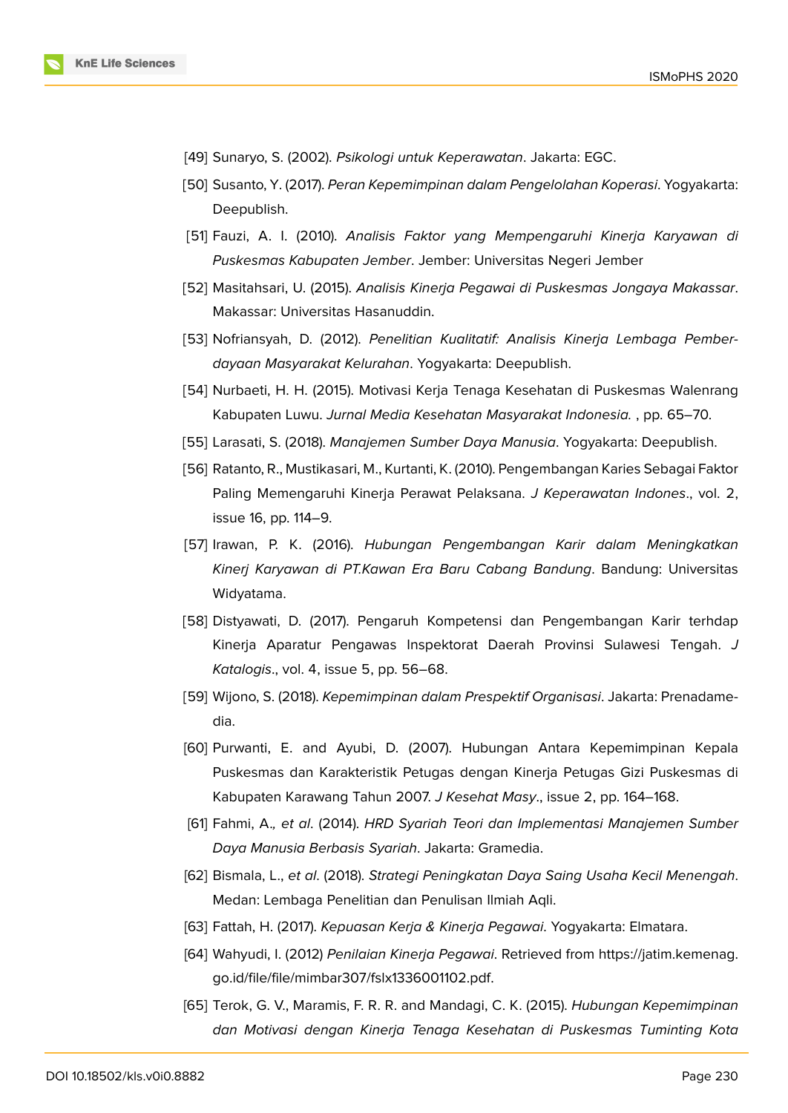- [49] Sunaryo, S. (2002). *Psikologi untuk Keperawatan*. Jakarta: EGC.
- [50] Susanto, Y. (2017). *Peran Kepemimpinan dalam Pengelolahan Koperasi*. Yogyakarta: Deepublish.
- <span id="page-14-0"></span>[51] Fauzi, A. I. (2010). *Analisis Faktor yang Mempengaruhi Kinerja Karyawan di Puskesmas Kabupaten Jember*. Jember: Universitas Negeri Jember
- [52] Masitahsari, U. (2015). *Analisis Kinerja Pegawai di Puskesmas Jongaya Makassar*. Makassar: Universitas Hasanuddin.
- [53] Nofriansyah, D. (2012). *Penelitian Kualitatif: Analisis Kinerja Lembaga Pemberdayaan Masyarakat Kelurahan*. Yogyakarta: Deepublish.
- [54] Nurbaeti, H. H. (2015). Motivasi Kerja Tenaga Kesehatan di Puskesmas Walenrang Kabupaten Luwu. *Jurnal Media Kesehatan Masyarakat Indonesia.* , pp. 65–70.
- <span id="page-14-1"></span>[55] Larasati, S. (2018). *Manajemen Sumber Daya Manusia*. Yogyakarta: Deepublish.
- [56] Ratanto, R., Mustikasari, M., Kurtanti, K. (2010). Pengembangan Karies Sebagai Faktor Paling Memengaruhi Kinerja Perawat Pelaksana. *J Keperawatan Indones*., vol. 2, issue 16, pp. 114–9.
- [57] Irawan, P. K. (2016). *Hubungan Pengembangan Karir dalam Meningkatkan Kinerj Karyawan di PT.Kawan Era Baru Cabang Bandung*. Bandung: Universitas Widyatama.
- [58] Distyawati, D. (2017). Pengaruh Kompetensi dan Pengembangan Karir terhdap Kinerja Aparatur Pengawas Inspektorat Daerah Provinsi Sulawesi Tengah. *J Katalogis*., vol. 4, issue 5, pp. 56–68.
- <span id="page-14-2"></span>[59] Wijono, S. (2018). *Kepemimpinan dalam Prespektif Organisasi*. Jakarta: Prenadamedia.
- <span id="page-14-3"></span>[60] Purwanti, E. and Ayubi, D. (2007). Hubungan Antara Kepemimpinan Kepala Puskesmas dan Karakteristik Petugas dengan Kinerja Petugas Gizi Puskesmas di Kabupaten Karawang Tahun 2007. *J Kesehat Masy*., issue 2, pp. 164–168.
- <span id="page-14-4"></span>[61] Fahmi, A.*, et al*. (2014). *HRD Syariah Teori dan Implementasi Manajemen Sumber Daya Manusia Berbasis Syariah*. Jakarta: Gramedia.
- [62] Bismala, L., *et al*. (2018). *Strategi Peningkatan Daya Saing Usaha Kecil Menengah*. Medan: Lembaga Penelitian dan Penulisan Ilmiah Aqli.
- [63] Fattah, H. (2017). *Kepuasan Kerja & Kinerja Pegawai*. Yogyakarta: Elmatara.
- [64] Wahyudi, I. (2012) *Penilaian Kinerja Pegawai*. Retrieved from https://jatim.kemenag. go.id/file/file/mimbar307/fslx1336001102.pdf.
- [65] Terok, G. V., Maramis, F. R. R. and Mandagi, C. K. (2015). *Hubungan Kepemimpinan dan Motivasi dengan Kinerja Tenaga Kesehatan di Puske[smas Tuminting Kota](https://jatim.kemenag.go.id/file/file/mimbar307/fslx1336001102.pdf)*